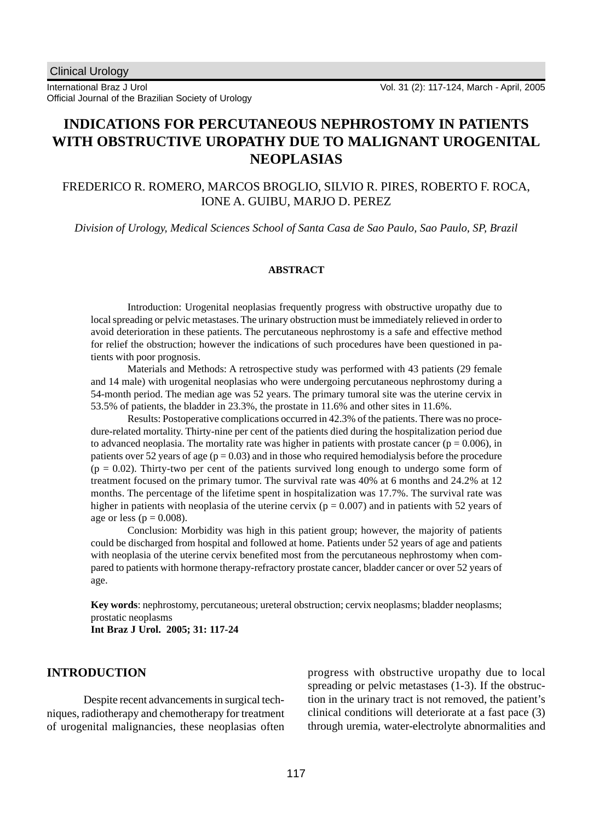International Braz J Urol Official Journal of the Brazilian Society of Urology

# **INDICATIONS FOR PERCUTANEOUS NEPHROSTOMY IN PATIENTS WITH OBSTRUCTIVE UROPATHY DUE TO MALIGNANT UROGENITAL NEOPLASIAS**

# FREDERICO R. ROMERO, MARCOS BROGLIO, SILVIO R. PIRES, ROBERTO F. ROCA, IONE A. GUIBU, MARJO D. PEREZ

*Division of Urology, Medical Sciences School of Santa Casa de Sao Paulo, Sao Paulo, SP, Brazil*

#### **ABSTRACT**

Introduction: Urogenital neoplasias frequently progress with obstructive uropathy due to local spreading or pelvic metastases. The urinary obstruction must be immediately relieved in order to avoid deterioration in these patients. The percutaneous nephrostomy is a safe and effective method for relief the obstruction; however the indications of such procedures have been questioned in patients with poor prognosis.

Materials and Methods: A retrospective study was performed with 43 patients (29 female and 14 male) with urogenital neoplasias who were undergoing percutaneous nephrostomy during a 54-month period. The median age was 52 years. The primary tumoral site was the uterine cervix in 53.5% of patients, the bladder in 23.3%, the prostate in 11.6% and other sites in 11.6%.

Results: Postoperative complications occurred in 42.3% of the patients. There was no procedure-related mortality. Thirty-nine per cent of the patients died during the hospitalization period due to advanced neoplasia. The mortality rate was higher in patients with prostate cancer ( $p = 0.006$ ), in patients over 52 years of age ( $p = 0.03$ ) and in those who required hemodialysis before the procedure  $(p = 0.02)$ . Thirty-two per cent of the patients survived long enough to undergo some form of treatment focused on the primary tumor. The survival rate was 40% at 6 months and 24.2% at 12 months. The percentage of the lifetime spent in hospitalization was 17.7%. The survival rate was higher in patients with neoplasia of the uterine cervix ( $p = 0.007$ ) and in patients with 52 years of age or less ( $p = 0.008$ ).

Conclusion: Morbidity was high in this patient group; however, the majority of patients could be discharged from hospital and followed at home. Patients under 52 years of age and patients with neoplasia of the uterine cervix benefited most from the percutaneous nephrostomy when compared to patients with hormone therapy-refractory prostate cancer, bladder cancer or over 52 years of age.

**Key words**: nephrostomy, percutaneous; ureteral obstruction; cervix neoplasms; bladder neoplasms; prostatic neoplasms **Int Braz J Urol. 2005; 31: 117-24**

# **INTRODUCTION**

Despite recent advancements in surgical techniques, radiotherapy and chemotherapy for treatment of urogenital malignancies, these neoplasias often progress with obstructive uropathy due to local spreading or pelvic metastases (1-3). If the obstruction in the urinary tract is not removed, the patient's clinical conditions will deteriorate at a fast pace (3) through uremia, water-electrolyte abnormalities and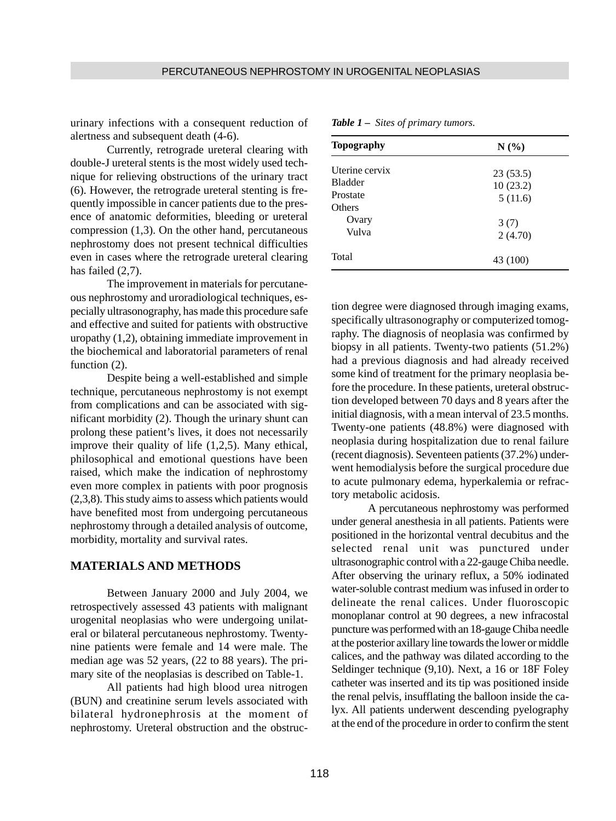urinary infections with a consequent reduction of alertness and subsequent death (4-6).

Currently, retrograde ureteral clearing with double-J ureteral stents is the most widely used technique for relieving obstructions of the urinary tract (6). However, the retrograde ureteral stenting is frequently impossible in cancer patients due to the presence of anatomic deformities, bleeding or ureteral compression (1,3). On the other hand, percutaneous nephrostomy does not present technical difficulties even in cases where the retrograde ureteral clearing has failed (2,7).

The improvement in materials for percutaneous nephrostomy and uroradiological techniques, especially ultrasonography, has made this procedure safe and effective and suited for patients with obstructive uropathy (1,2), obtaining immediate improvement in the biochemical and laboratorial parameters of renal function  $(2)$ .

Despite being a well-established and simple technique, percutaneous nephrostomy is not exempt from complications and can be associated with significant morbidity (2). Though the urinary shunt can prolong these patient's lives, it does not necessarily improve their quality of life (1,2,5). Many ethical, philosophical and emotional questions have been raised, which make the indication of nephrostomy even more complex in patients with poor prognosis (2,3,8). This study aims to assess which patients would have benefited most from undergoing percutaneous nephrostomy through a detailed analysis of outcome, morbidity, mortality and survival rates.

### **MATERIALS AND METHODS**

Between January 2000 and July 2004, we retrospectively assessed 43 patients with malignant urogenital neoplasias who were undergoing unilateral or bilateral percutaneous nephrostomy. Twentynine patients were female and 14 were male. The median age was 52 years, (22 to 88 years). The primary site of the neoplasias is described on Table-1.

All patients had high blood urea nitrogen (BUN) and creatinine serum levels associated with bilateral hydronephrosis at the moment of nephrostomy. Ureteral obstruction and the obstruc-

| <b>Topography</b> | $N(\%)$  |  |  |
|-------------------|----------|--|--|
| Uterine cervix    | 23(53.5) |  |  |
| <b>Bladder</b>    | 10(23.2) |  |  |
| Prostate          | 5(11.6)  |  |  |
| Others            |          |  |  |
| Ovary             | 3(7)     |  |  |
| Vulva             | 2(4.70)  |  |  |
| Total             | 43 (100) |  |  |

*Table 1 – Sites of primary tumors.*

tion degree were diagnosed through imaging exams, specifically ultrasonography or computerized tomography. The diagnosis of neoplasia was confirmed by biopsy in all patients. Twenty-two patients (51.2%) had a previous diagnosis and had already received some kind of treatment for the primary neoplasia before the procedure. In these patients, ureteral obstruction developed between 70 days and 8 years after the initial diagnosis, with a mean interval of 23.5 months. Twenty-one patients (48.8%) were diagnosed with neoplasia during hospitalization due to renal failure (recent diagnosis). Seventeen patients (37.2%) underwent hemodialysis before the surgical procedure due to acute pulmonary edema, hyperkalemia or refractory metabolic acidosis.

A percutaneous nephrostomy was performed under general anesthesia in all patients. Patients were positioned in the horizontal ventral decubitus and the selected renal unit was punctured under ultrasonographic control with a 22-gauge Chiba needle. After observing the urinary reflux, a 50% iodinated water-soluble contrast medium was infused in order to delineate the renal calices. Under fluoroscopic monoplanar control at 90 degrees, a new infracostal puncture was performed with an 18-gauge Chiba needle at the posterior axillary line towards the lower or middle calices, and the pathway was dilated according to the Seldinger technique (9,10). Next, a 16 or 18F Foley catheter was inserted and its tip was positioned inside the renal pelvis, insufflating the balloon inside the calyx. All patients underwent descending pyelography at the end of the procedure in order to confirm the stent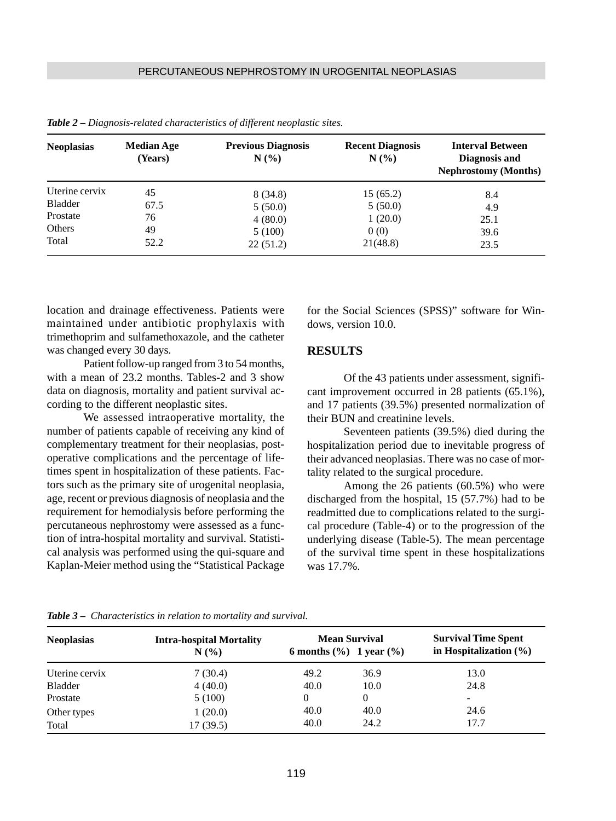| <b>Neoplasias</b> | <b>Median Age</b><br>(Years) | <b>Previous Diagnosis</b><br>N(% | <b>Recent Diagnosis</b><br>N(%) | <b>Interval Between</b><br>Diagnosis and<br><b>Nephrostomy (Months)</b> |
|-------------------|------------------------------|----------------------------------|---------------------------------|-------------------------------------------------------------------------|
| Uterine cervix    | 45                           | 8 (34.8)                         | 15(65.2)                        | 8.4                                                                     |
| Bladder           | 67.5                         | 5(50.0)                          | 5(50.0)                         | 4.9                                                                     |
| Prostate          | 76                           | 4(80.0)                          | 1(20.0)                         | 25.1                                                                    |
| Others            | 49                           | 5(100)                           | 0(0)                            | 39.6                                                                    |
| Total             | 52.2                         | 22(51.2)                         | 21(48.8)                        | 23.5                                                                    |

*Table 2 – Diagnosis-related characteristics of different neoplastic sites.*

location and drainage effectiveness. Patients were maintained under antibiotic prophylaxis with trimethoprim and sulfamethoxazole, and the catheter was changed every 30 days.

Patient follow-up ranged from 3 to 54 months, with a mean of 23.2 months. Tables-2 and 3 show data on diagnosis, mortality and patient survival according to the different neoplastic sites.

We assessed intraoperative mortality, the number of patients capable of receiving any kind of complementary treatment for their neoplasias, postoperative complications and the percentage of lifetimes spent in hospitalization of these patients. Factors such as the primary site of urogenital neoplasia, age, recent or previous diagnosis of neoplasia and the requirement for hemodialysis before performing the percutaneous nephrostomy were assessed as a function of intra-hospital mortality and survival. Statistical analysis was performed using the qui-square and Kaplan-Meier method using the "Statistical Package for the Social Sciences (SPSS)" software for Windows, version 10.0.

### **RESULTS**

Of the 43 patients under assessment, significant improvement occurred in 28 patients (65.1%), and 17 patients (39.5%) presented normalization of their BUN and creatinine levels.

Seventeen patients (39.5%) died during the hospitalization period due to inevitable progress of their advanced neoplasias. There was no case of mortality related to the surgical procedure.

Among the 26 patients (60.5%) who were discharged from the hospital, 15 (57.7%) had to be readmitted due to complications related to the surgical procedure (Table-4) or to the progression of the underlying disease (Table-5). The mean percentage of the survival time spent in these hospitalizations was 17.7%.

| <b>Neoplasias</b> | <b>Intra-hospital Mortality</b><br>N(% | <b>Mean Survival</b><br>6 months $(\% )$ 1 year $(\% )$ |          | <b>Survival Time Spent</b><br>in Hospitalization $(\% )$ |  |
|-------------------|----------------------------------------|---------------------------------------------------------|----------|----------------------------------------------------------|--|
| Uterine cervix    | 7(30.4)                                | 49.2                                                    | 36.9     | 13.0                                                     |  |
| Bladder           | 4(40.0)                                | 40.0                                                    | 10.0     | 24.8                                                     |  |
| Prostate          | 5(100)                                 | $\theta$                                                | $\theta$ | $\overline{\phantom{0}}$                                 |  |
| Other types       | 1(20.0)                                | 40.0                                                    | 40.0     | 24.6                                                     |  |
| Total             | 17(39.5)                               | 40.0                                                    | 24.2     | 17.7                                                     |  |

*Table 3 – Characteristics in relation to mortality and survival.*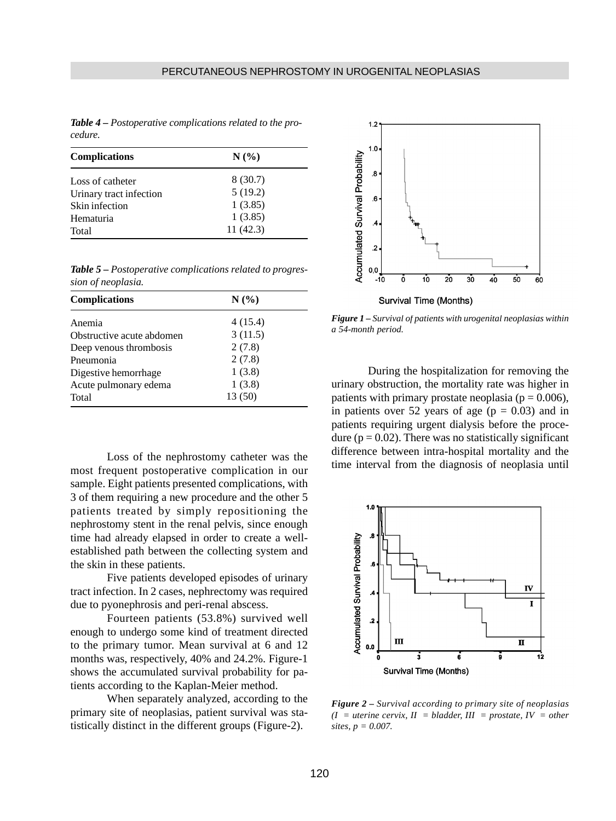*Table 4 – Postoperative complications related to the procedure.*

| <b>Complications</b>    | N(%      |
|-------------------------|----------|
| Loss of catheter        | 8 (30.7) |
| Urinary tract infection | 5(19.2)  |
| Skin infection          | 1(3.85)  |
| Hematuria               | 1(3.85)  |
| Total                   | 11(42.3) |

*Table 5 – Postoperative complications related to progression of neoplasia.*

| <b>Complications</b>      | N(%     |  |  |
|---------------------------|---------|--|--|
| Anemia                    | 4(15.4) |  |  |
| Obstructive acute abdomen | 3(11.5) |  |  |
| Deep venous thrombosis    | 2(7.8)  |  |  |
| Pneumonia                 | 2(7.8)  |  |  |
| Digestive hemorrhage      | 1(3.8)  |  |  |
| Acute pulmonary edema     | 1(3.8)  |  |  |
| Total                     | 13(50)  |  |  |

Loss of the nephrostomy catheter was the most frequent postoperative complication in our sample. Eight patients presented complications, with 3 of them requiring a new procedure and the other 5 patients treated by simply repositioning the nephrostomy stent in the renal pelvis, since enough time had already elapsed in order to create a wellestablished path between the collecting system and the skin in these patients.

Five patients developed episodes of urinary tract infection. In 2 cases, nephrectomy was required due to pyonephrosis and peri-renal abscess.

Fourteen patients (53.8%) survived well enough to undergo some kind of treatment directed to the primary tumor. Mean survival at 6 and 12 months was, respectively, 40% and 24.2%. Figure-1 shows the accumulated survival probability for patients according to the Kaplan-Meier method.

When separately analyzed, according to the primary site of neoplasias, patient survival was statistically distinct in the different groups (Figure-2).



*Figure 1 – Survival of patients with urogenital neoplasias within a 54-month period.*

During the hospitalization for removing the urinary obstruction, the mortality rate was higher in patients with primary prostate neoplasia ( $p = 0.006$ ), in patients over 52 years of age  $(p = 0.03)$  and in patients requiring urgent dialysis before the procedure ( $p = 0.02$ ). There was no statistically significant difference between intra-hospital mortality and the time interval from the diagnosis of neoplasia until



*Figure 2 – Survival according to primary site of neoplasias*  $(I = uterine cervix, II = bladder, III = prostate, IV = other$ *sites, p = 0.007.*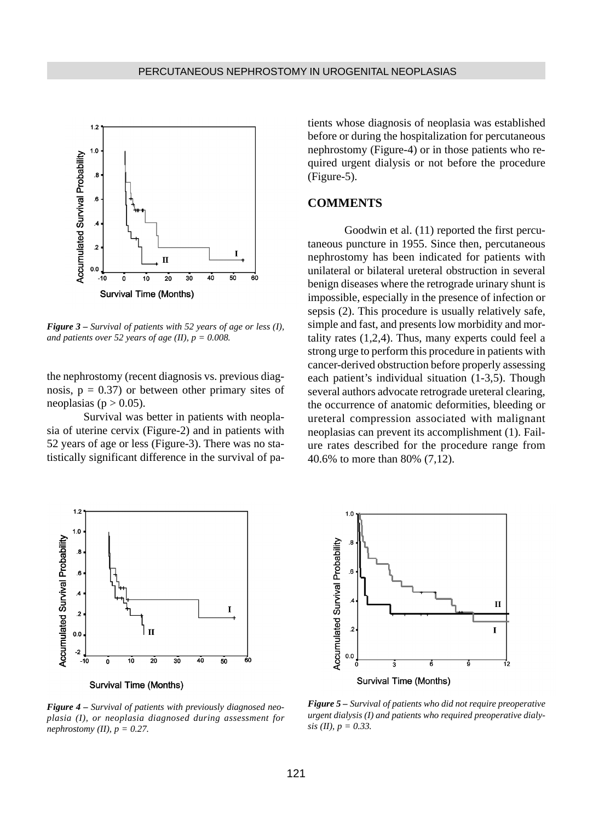

*Figure 3 – Survival of patients with 52 years of age or less (I), and patients over 52 years of age (II),*  $p = 0.008$ *.* 

the nephrostomy (recent diagnosis vs. previous diagnosis,  $p = 0.37$  or between other primary sites of neoplasias ( $p > 0.05$ ).

Survival was better in patients with neoplasia of uterine cervix (Figure-2) and in patients with 52 years of age or less (Figure-3). There was no statistically significant difference in the survival of patients whose diagnosis of neoplasia was established before or during the hospitalization for percutaneous nephrostomy (Figure-4) or in those patients who required urgent dialysis or not before the procedure (Figure-5).

### **COMMENTS**

Goodwin et al. (11) reported the first percutaneous puncture in 1955. Since then, percutaneous nephrostomy has been indicated for patients with unilateral or bilateral ureteral obstruction in several benign diseases where the retrograde urinary shunt is impossible, especially in the presence of infection or sepsis (2). This procedure is usually relatively safe, simple and fast, and presents low morbidity and mortality rates (1,2,4). Thus, many experts could feel a strong urge to perform this procedure in patients with cancer-derived obstruction before properly assessing each patient's individual situation (1-3,5). Though several authors advocate retrograde ureteral clearing, the occurrence of anatomic deformities, bleeding or ureteral compression associated with malignant neoplasias can prevent its accomplishment (1). Failure rates described for the procedure range from 40.6% to more than 80% (7,12).



**Survival Time (Months)** 

*Figure 4 – Survival of patients with previously diagnosed neoplasia (I), or neoplasia diagnosed during assessment for nephrostomy (II), p = 0.27.*



*Figure 5 – Survival of patients who did not require preoperative urgent dialysis (I) and patients who required preoperative dialysis (II), p = 0.33.*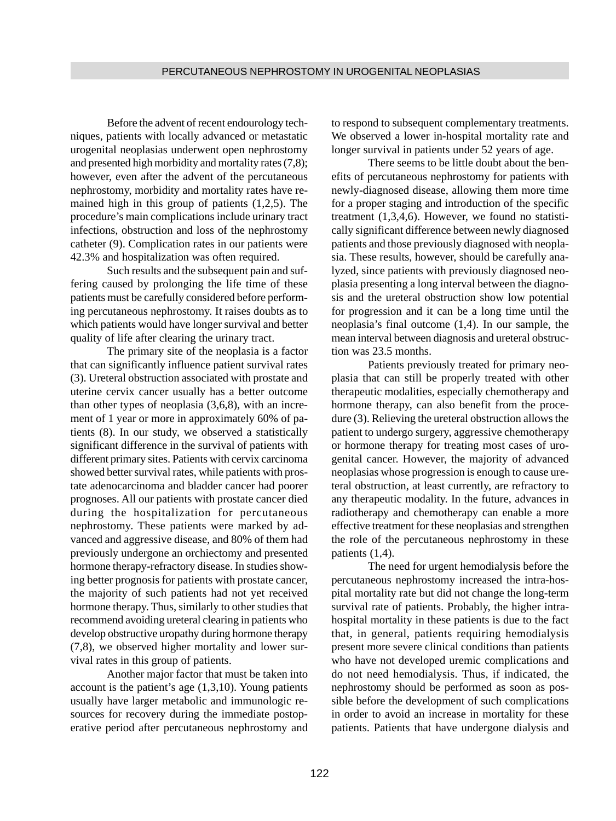Before the advent of recent endourology techniques, patients with locally advanced or metastatic urogenital neoplasias underwent open nephrostomy and presented high morbidity and mortality rates (7,8); however, even after the advent of the percutaneous nephrostomy, morbidity and mortality rates have remained high in this group of patients (1,2,5). The procedure's main complications include urinary tract infections, obstruction and loss of the nephrostomy catheter (9). Complication rates in our patients were 42.3% and hospitalization was often required.

Such results and the subsequent pain and suffering caused by prolonging the life time of these patients must be carefully considered before performing percutaneous nephrostomy. It raises doubts as to which patients would have longer survival and better quality of life after clearing the urinary tract.

The primary site of the neoplasia is a factor that can significantly influence patient survival rates (3). Ureteral obstruction associated with prostate and uterine cervix cancer usually has a better outcome than other types of neoplasia (3,6,8), with an increment of 1 year or more in approximately 60% of patients (8). In our study, we observed a statistically significant difference in the survival of patients with different primary sites. Patients with cervix carcinoma showed better survival rates, while patients with prostate adenocarcinoma and bladder cancer had poorer prognoses. All our patients with prostate cancer died during the hospitalization for percutaneous nephrostomy. These patients were marked by advanced and aggressive disease, and 80% of them had previously undergone an orchiectomy and presented hormone therapy-refractory disease. In studies showing better prognosis for patients with prostate cancer, the majority of such patients had not yet received hormone therapy. Thus, similarly to other studies that recommend avoiding ureteral clearing in patients who develop obstructive uropathy during hormone therapy (7,8), we observed higher mortality and lower survival rates in this group of patients.

Another major factor that must be taken into account is the patient's age (1,3,10). Young patients usually have larger metabolic and immunologic resources for recovery during the immediate postoperative period after percutaneous nephrostomy and to respond to subsequent complementary treatments. We observed a lower in-hospital mortality rate and longer survival in patients under 52 years of age.

There seems to be little doubt about the benefits of percutaneous nephrostomy for patients with newly-diagnosed disease, allowing them more time for a proper staging and introduction of the specific treatment (1,3,4,6). However, we found no statistically significant difference between newly diagnosed patients and those previously diagnosed with neoplasia. These results, however, should be carefully analyzed, since patients with previously diagnosed neoplasia presenting a long interval between the diagnosis and the ureteral obstruction show low potential for progression and it can be a long time until the neoplasia's final outcome (1,4). In our sample, the mean interval between diagnosis and ureteral obstruction was 23.5 months.

Patients previously treated for primary neoplasia that can still be properly treated with other therapeutic modalities, especially chemotherapy and hormone therapy, can also benefit from the procedure (3). Relieving the ureteral obstruction allows the patient to undergo surgery, aggressive chemotherapy or hormone therapy for treating most cases of urogenital cancer. However, the majority of advanced neoplasias whose progression is enough to cause ureteral obstruction, at least currently, are refractory to any therapeutic modality. In the future, advances in radiotherapy and chemotherapy can enable a more effective treatment for these neoplasias and strengthen the role of the percutaneous nephrostomy in these patients (1,4).

The need for urgent hemodialysis before the percutaneous nephrostomy increased the intra-hospital mortality rate but did not change the long-term survival rate of patients. Probably, the higher intrahospital mortality in these patients is due to the fact that, in general, patients requiring hemodialysis present more severe clinical conditions than patients who have not developed uremic complications and do not need hemodialysis. Thus, if indicated, the nephrostomy should be performed as soon as possible before the development of such complications in order to avoid an increase in mortality for these patients. Patients that have undergone dialysis and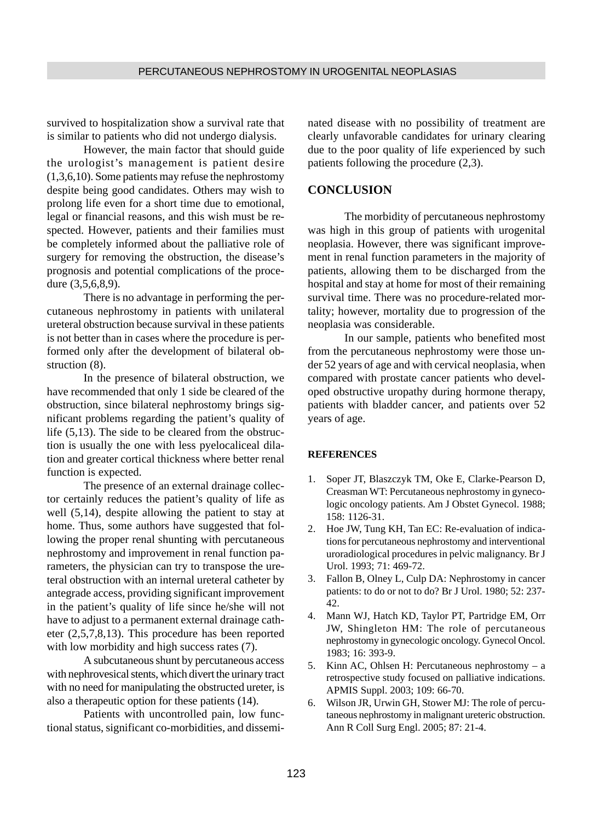survived to hospitalization show a survival rate that is similar to patients who did not undergo dialysis.

However, the main factor that should guide the urologist's management is patient desire (1,3,6,10). Some patients may refuse the nephrostomy despite being good candidates. Others may wish to prolong life even for a short time due to emotional, legal or financial reasons, and this wish must be respected. However, patients and their families must be completely informed about the palliative role of surgery for removing the obstruction, the disease's prognosis and potential complications of the procedure (3,5,6,8,9).

There is no advantage in performing the percutaneous nephrostomy in patients with unilateral ureteral obstruction because survival in these patients is not better than in cases where the procedure is performed only after the development of bilateral obstruction (8).

In the presence of bilateral obstruction, we have recommended that only 1 side be cleared of the obstruction, since bilateral nephrostomy brings significant problems regarding the patient's quality of life (5,13). The side to be cleared from the obstruction is usually the one with less pyelocaliceal dilation and greater cortical thickness where better renal function is expected.

The presence of an external drainage collector certainly reduces the patient's quality of life as well (5,14), despite allowing the patient to stay at home. Thus, some authors have suggested that following the proper renal shunting with percutaneous nephrostomy and improvement in renal function parameters, the physician can try to transpose the ureteral obstruction with an internal ureteral catheter by antegrade access, providing significant improvement in the patient's quality of life since he/she will not have to adjust to a permanent external drainage catheter (2,5,7,8,13). This procedure has been reported with low morbidity and high success rates  $(7)$ .

A subcutaneous shunt by percutaneous access with nephrovesical stents, which divert the urinary tract with no need for manipulating the obstructed ureter, is also a therapeutic option for these patients (14).

Patients with uncontrolled pain, low functional status, significant co-morbidities, and disseminated disease with no possibility of treatment are clearly unfavorable candidates for urinary clearing due to the poor quality of life experienced by such patients following the procedure (2,3).

### **CONCLUSION**

The morbidity of percutaneous nephrostomy was high in this group of patients with urogenital neoplasia. However, there was significant improvement in renal function parameters in the majority of patients, allowing them to be discharged from the hospital and stay at home for most of their remaining survival time. There was no procedure-related mortality; however, mortality due to progression of the neoplasia was considerable.

In our sample, patients who benefited most from the percutaneous nephrostomy were those under 52 years of age and with cervical neoplasia, when compared with prostate cancer patients who developed obstructive uropathy during hormone therapy, patients with bladder cancer, and patients over 52 years of age.

### **REFERENCES**

- 1. Soper JT, Blaszczyk TM, Oke E, Clarke-Pearson D, Creasman WT: Percutaneous nephrostomy in gynecologic oncology patients. Am J Obstet Gynecol. 1988; 158: 1126-31.
- 2. Hoe JW, Tung KH, Tan EC: Re-evaluation of indications for percutaneous nephrostomy and interventional uroradiological procedures in pelvic malignancy. Br J Urol. 1993; 71: 469-72.
- 3. Fallon B, Olney L, Culp DA: Nephrostomy in cancer patients: to do or not to do? Br J Urol. 1980; 52: 237- 42.
- 4. Mann WJ, Hatch KD, Taylor PT, Partridge EM, Orr JW, Shingleton HM: The role of percutaneous nephrostomy in gynecologic oncology. Gynecol Oncol. 1983; 16: 393-9.
- 5. Kinn AC, Ohlsen H: Percutaneous nephrostomy a retrospective study focused on palliative indications. APMIS Suppl. 2003; 109: 66-70.
- 6. Wilson JR, Urwin GH, Stower MJ: The role of percutaneous nephrostomy in malignant ureteric obstruction. Ann R Coll Surg Engl. 2005; 87: 21-4.